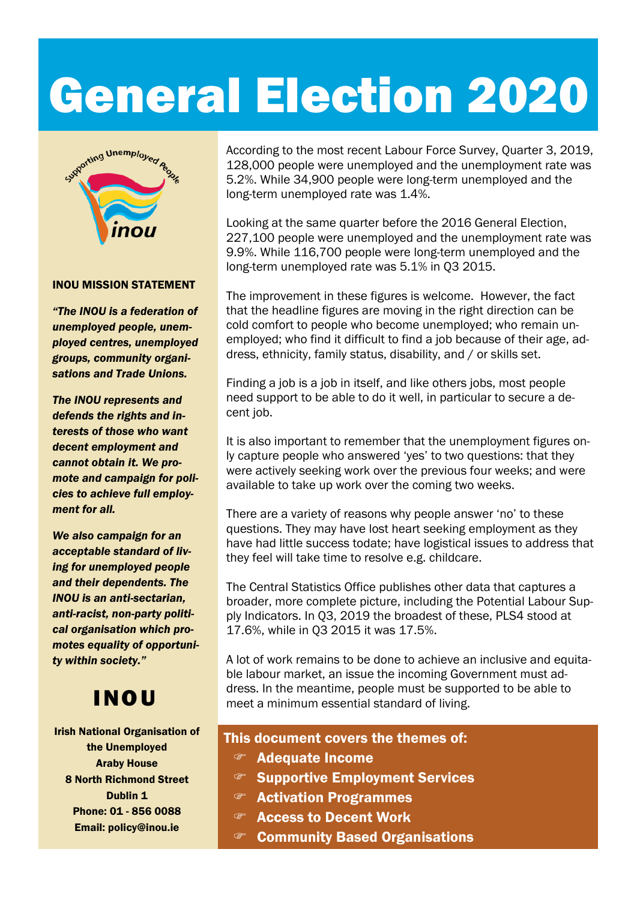# General Election 2020



#### INOU MISSION STATEMENT

*"The INOU is a federation of unemployed people, unemployed centres, unemployed groups, community organisations and Trade Unions.* 

*The INOU represents and defends the rights and interests of those who want decent employment and cannot obtain it. We promote and campaign for policies to achieve full employment for all.* 

*We also campaign for an acceptable standard of living for unemployed people and their dependents. The INOU is an anti-sectarian, anti-racist, non-party political organisation which promotes equality of opportunity within society."*

### INOU

Irish National Organisation of the Unemployed Araby House 8 North Richmond Street Dublin 1 Phone: 01 - 856 0088 Email: policy@inou.ie

According to the most recent Labour Force Survey, Quarter 3, 2019, 128,000 people were unemployed and the unemployment rate was 5.2%. While 34,900 people were long-term unemployed and the long-term unemployed rate was 1.4%.

Looking at the same quarter before the 2016 General Election, 227,100 people were unemployed and the unemployment rate was 9.9%. While 116,700 people were long-term unemployed and the long-term unemployed rate was 5.1% in Q3 2015.

The improvement in these figures is welcome. However, the fact that the headline figures are moving in the right direction can be cold comfort to people who become unemployed; who remain unemployed; who find it difficult to find a job because of their age, address, ethnicity, family status, disability, and / or skills set.

Finding a job is a job in itself, and like others jobs, most people need support to be able to do it well, in particular to secure a decent job.

It is also important to remember that the unemployment figures only capture people who answered 'yes' to two questions: that they were actively seeking work over the previous four weeks; and were available to take up work over the coming two weeks.

There are a variety of reasons why people answer 'no' to these questions. They may have lost heart seeking employment as they have had little success todate; have logistical issues to address that they feel will take time to resolve e.g. childcare.

The Central Statistics Office publishes other data that captures a broader, more complete picture, including the Potential Labour Supply Indicators. In Q3, 2019 the broadest of these, PLS4 stood at 17.6%, while in Q3 2015 it was 17.5%.

A lot of work remains to be done to achieve an inclusive and equitable labour market, an issue the incoming Government must address. In the meantime, people must be supported to be able to meet a minimum essential standard of living.

#### This document covers the themes of:

- Adequate Income
- **Supportive Employment Services**
- Activation Programmes
- Access to Decent Work
- Community Based Organisations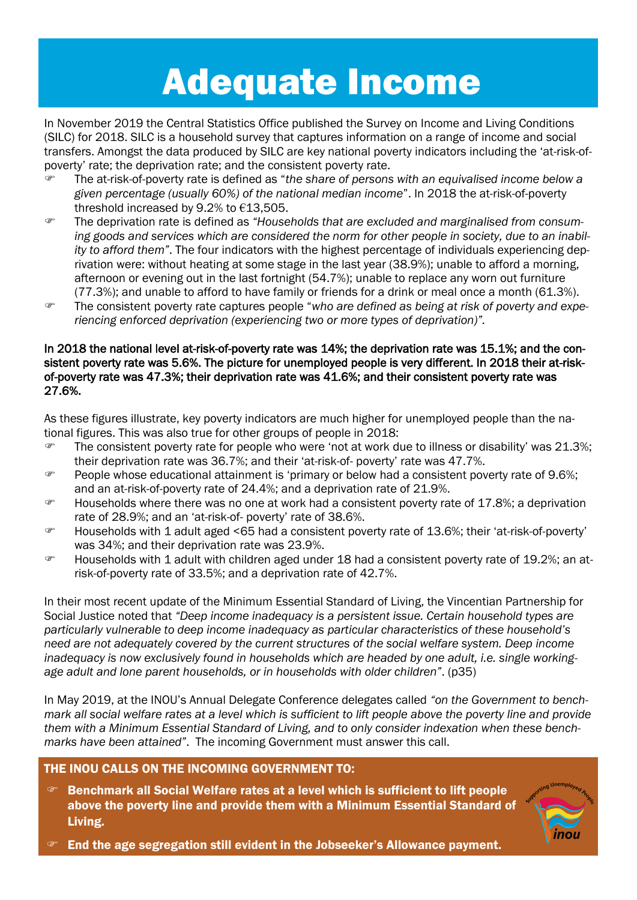### Adequate Income

In November 2019 the Central Statistics Office published the Survey on Income and Living Conditions (SILC) for 2018. SILC is a household survey that captures information on a range of income and social transfers. Amongst the data produced by SILC are key national poverty indicators including the 'at-risk-ofpoverty' rate; the deprivation rate; and the consistent poverty rate.

- The at-risk-of-poverty rate is defined as "*the share of persons with an equivalised income below a given percentage (usually 60%) of the national median income*". In 2018 the at-risk-of-poverty threshold increased by 9.2% to €13,505.
- The deprivation rate is defined as *"Households that are excluded and marginalised from consuming goods and services which are considered the norm for other people in society, due to an inability to afford them"*. The four indicators with the highest percentage of individuals experiencing deprivation were: without heating at some stage in the last year (38.9%); unable to afford a morning, afternoon or evening out in the last fortnight (54.7%); unable to replace any worn out furniture (77.3%); and unable to afford to have family or friends for a drink or meal once a month (61.3%).
- The consistent poverty rate captures people "*who are defined as being at risk of poverty and experiencing enforced deprivation (experiencing two or more types of deprivation)".*

#### In 2018 the national level at-risk-of-poverty rate was 14%; the deprivation rate was 15.1%; and the consistent poverty rate was 5.6%. The picture for unemployed people is very different. In 2018 their at-riskof-poverty rate was 47.3%; their deprivation rate was 41.6%; and their consistent poverty rate was 27.6%.

As these figures illustrate, key poverty indicators are much higher for unemployed people than the national figures. This was also true for other groups of people in 2018:

- $\degree$  The consistent poverty rate for people who were 'not at work due to illness or disability' was 21.3%; their deprivation rate was 36.7%; and their 'at-risk-of- poverty' rate was 47.7%.
- **People whose educational attainment is 'primary or below had a consistent poverty rate of 9.6%;** and an at-risk-of-poverty rate of 24.4%; and a deprivation rate of 21.9%.
- $\degree$  Households where there was no one at work had a consistent poverty rate of 17.8%; a deprivation rate of 28.9%; and an 'at-risk-of- poverty' rate of 38.6%.
- Households with 1 adult aged <65 had a consistent poverty rate of 13.6%; their 'at-risk-of-poverty' was 34%; and their deprivation rate was 23.9%.
- Households with 1 adult with children aged under 18 had a consistent poverty rate of 19.2%; an atrisk-of-poverty rate of 33.5%; and a deprivation rate of 42.7%.

In their most recent update of the Minimum Essential Standard of Living, the Vincentian Partnership for Social Justice noted that *"Deep income inadequacy is a persistent issue. Certain household types are particularly vulnerable to deep income inadequacy as particular characteristics of these household's need are not adequately covered by the current structures of the social welfare system. Deep income inadequacy is now exclusively found in households which are headed by one adult, i.e. single workingage adult and lone parent households, or in households with older children"*. (p35)

In May 2019, at the INOU's Annual Delegate Conference delegates called *"on the Government to benchmark all social welfare rates at a level which is sufficient to lift people above the poverty line and provide them with a Minimum Essential Standard of Living, and to only consider indexation when these benchmarks have been attained"*. The incoming Government must answer this call.

#### THE INOU CALLS ON THE INCOMING GOVERNMENT TO:

 Benchmark all Social Welfare rates at a level which is sufficient to lift people above the poverty line and provide them with a Minimum Essential Standard of Living.



End the age segregation still evident in the Jobseeker's Allowance payment.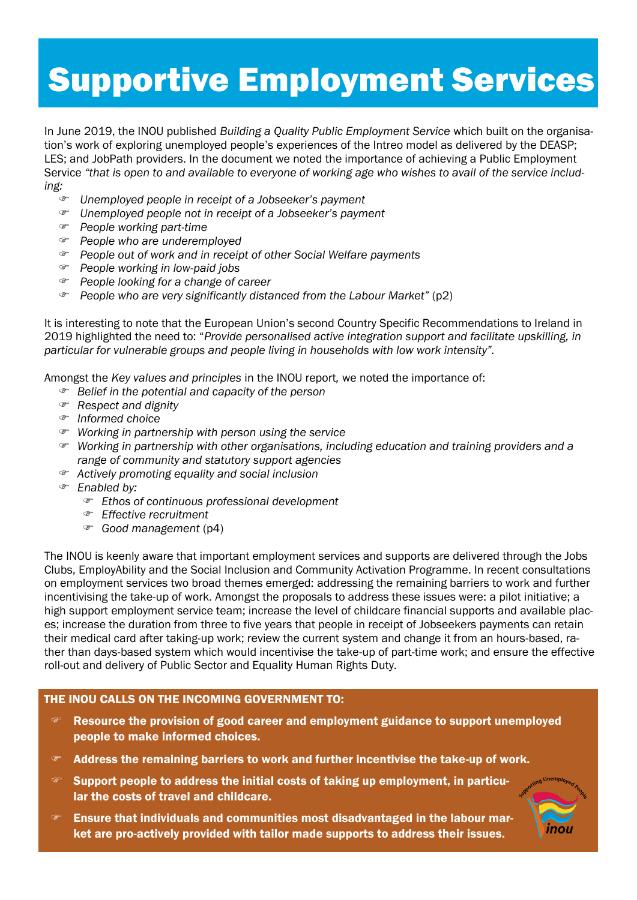### Supportive Employment Services

In June 2019, the INOU published *Building a Quality Public Employment Service* which built on the organisation's work of exploring unemployed people's experiences of the Intreo model as delivered by the DEASP; LES; and JobPath providers. In the document we noted the importance of achieving a Public Employment Service *"that is open to and available to everyone of working age who wishes to avail of the service including:*

- *Unemployed people in receipt of a Jobseeker's payment*
- *Unemployed people not in receipt of a Jobseeker's payment*
- *People working part-time*
- *People who are underemployed*
- *People out of work and in receipt of other Social Welfare payments*
- *People working in low-paid jobs*
- *People looking for a change of career*
- *People who are very significantly distanced from the Labour Market"* (p2)

It is interesting to note that the European Union's second Country Specific Recommendations to Ireland in 2019 highlighted the need to: "*Provide personalised active integration support and facilitate upskilling, in particular for vulnerable groups and people living in households with low work intensity".* 

Amongst the *Key values and principles* in the INOU report*,* we noted the importance of:

- *Belief in the potential and capacity of the person*
- *Respect and dignity*
- *Informed choice*
- *Working in partnership with person using the service*
- *Working in partnership with other organisations, including education and training providers and a range of community and statutory support agencies*
- *Actively promoting equality and social inclusion*
- *Enabled by:*
	- *Ethos of continuous professional development*
	- *Effective recruitment*
	- *Good management* (p4)

The INOU is keenly aware that important employment services and supports are delivered through the Jobs Clubs, EmployAbility and the Social Inclusion and Community Activation Programme. In recent consultations on employment services two broad themes emerged: addressing the remaining barriers to work and further incentivising the take-up of work. Amongst the proposals to address these issues were: a pilot initiative; a high support employment service team; increase the level of childcare financial supports and available places; increase the duration from three to five years that people in receipt of Jobseekers payments can retain their medical card after taking-up work; review the current system and change it from an hours-based, rather than days-based system which would incentivise the take-up of part-time work; and ensure the effective roll-out and delivery of Public Sector and Equality Human Rights Duty.

#### THE INOU CALLS ON THE INCOMING GOVERNMENT TO:

- Resource the provision of good career and employment guidance to support unemployed people to make informed choices.
- Address the remaining barriers to work and further incentivise the take-up of work.
- Support people to address the initial costs of taking up employment, in particular the costs of travel and childcare.
- $\mathcal{F}$  Ensure that individuals and communities most disadvantaged in the labour market are pro-actively provided with tailor made supports to address their issues.

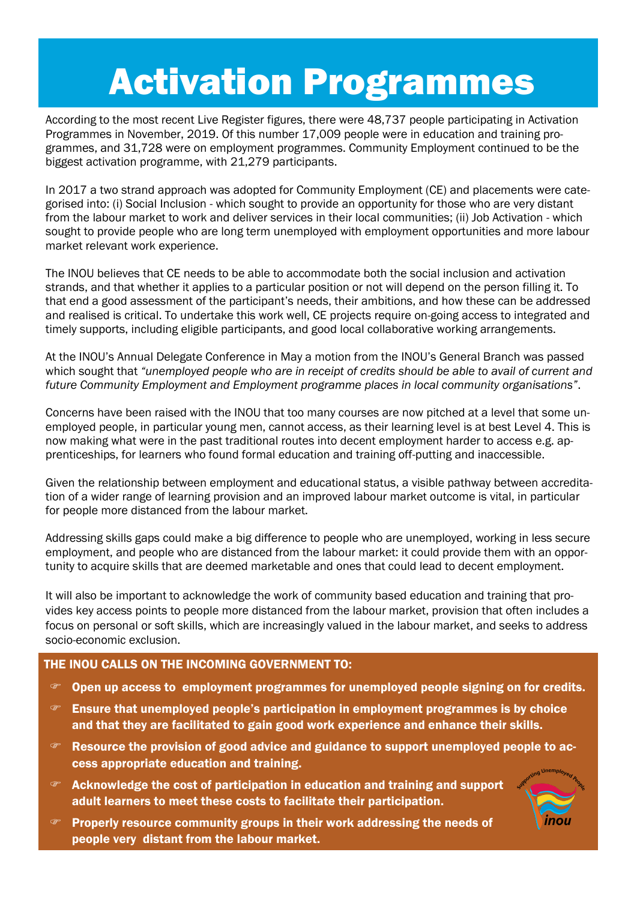## Activation Programmes

According to the most recent Live Register figures, there were 48,737 people participating in Activation Programmes in November, 2019. Of this number 17,009 people were in education and training programmes, and 31,728 were on employment programmes. Community Employment continued to be the biggest activation programme, with 21,279 participants.

In 2017 a two strand approach was adopted for Community Employment (CE) and placements were categorised into: (i) Social Inclusion - which sought to provide an opportunity for those who are very distant from the labour market to work and deliver services in their local communities; (ii) Job Activation - which sought to provide people who are long term unemployed with employment opportunities and more labour market relevant work experience.

The INOU believes that CE needs to be able to accommodate both the social inclusion and activation strands, and that whether it applies to a particular position or not will depend on the person filling it. To that end a good assessment of the participant's needs, their ambitions, and how these can be addressed and realised is critical. To undertake this work well, CE projects require on-going access to integrated and timely supports, including eligible participants, and good local collaborative working arrangements.

At the INOU's Annual Delegate Conference in May a motion from the INOU's General Branch was passed which sought that *"unemployed people who are in receipt of credits should be able to avail of current and future Community Employment and Employment programme places in local community organisations"*.

Concerns have been raised with the INOU that too many courses are now pitched at a level that some unemployed people, in particular young men, cannot access, as their learning level is at best Level 4. This is now making what were in the past traditional routes into decent employment harder to access e.g. apprenticeships, for learners who found formal education and training off-putting and inaccessible.

Given the relationship between employment and educational status, a visible pathway between accreditation of a wider range of learning provision and an improved labour market outcome is vital, in particular for people more distanced from the labour market.

Addressing skills gaps could make a big difference to people who are unemployed, working in less secure employment, and people who are distanced from the labour market: it could provide them with an opportunity to acquire skills that are deemed marketable and ones that could lead to decent employment.

It will also be important to acknowledge the work of community based education and training that provides key access points to people more distanced from the labour market, provision that often includes a focus on personal or soft skills, which are increasingly valued in the labour market, and seeks to address socio-economic exclusion.

#### THE INOU CALLS ON THE INCOMING GOVERNMENT TO:

- Open up access to employment programmes for unemployed people signing on for credits.
- Ensure that unemployed people's participation in employment programmes is by choice and that they are facilitated to gain good work experience and enhance their skills.
- $\mathcal{F}$  Resource the provision of good advice and guidance to support unemploved people to access appropriate education and training.
- $\infty$  Acknowledge the cost of participation in education and training and support adult learners to meet these costs to facilitate their participation.



 Properly resource community groups in their work addressing the needs of people very distant from the labour market.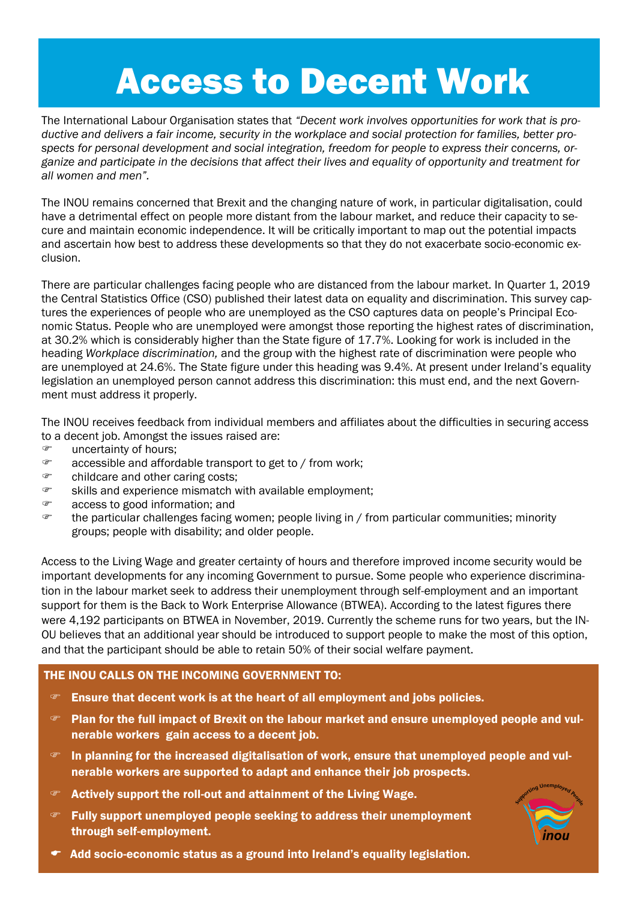## Access to Decent Work

The International Labour Organisation states that *"Decent work involves opportunities for work that is productive and delivers a fair income, security in the workplace and social protection for families, better prospects for personal development and social integration, freedom for people to express their concerns, organize and participate in the decisions that affect their lives and equality of opportunity and treatment for all women and men".*

The INOU remains concerned that Brexit and the changing nature of work, in particular digitalisation, could have a detrimental effect on people more distant from the labour market, and reduce their capacity to secure and maintain economic independence. It will be critically important to map out the potential impacts and ascertain how best to address these developments so that they do not exacerbate socio-economic exclusion.

There are particular challenges facing people who are distanced from the labour market. In Quarter 1, 2019 the Central Statistics Office (CSO) published their latest data on equality and discrimination. This survey captures the experiences of people who are unemployed as the CSO captures data on people's Principal Economic Status. People who are unemployed were amongst those reporting the highest rates of discrimination, at 30.2% which is considerably higher than the State figure of 17.7%. Looking for work is included in the heading *Workplace discrimination,* and the group with the highest rate of discrimination were people who are unemployed at 24.6%. The State figure under this heading was 9.4%. At present under Ireland's equality legislation an unemployed person cannot address this discrimination: this must end, and the next Government must address it properly.

The INOU receives feedback from individual members and affiliates about the difficulties in securing access to a decent job. Amongst the issues raised are:

- *F* uncertainty of hours;
- accessible and affordable transport to get to / from work;
- childcare and other caring costs;
- skills and experience mismatch with available employment;
- access to good information; and
- $\epsilon$  the particular challenges facing women; people living in / from particular communities; minority groups; people with disability; and older people.

Access to the Living Wage and greater certainty of hours and therefore improved income security would be important developments for any incoming Government to pursue. Some people who experience discrimination in the labour market seek to address their unemployment through self-employment and an important support for them is the Back to Work Enterprise Allowance (BTWEA). According to the latest figures there were 4,192 participants on BTWEA in November, 2019. Currently the scheme runs for two years, but the IN-OU believes that an additional year should be introduced to support people to make the most of this option, and that the participant should be able to retain 50% of their social welfare payment.

#### THE INOU CALLS ON THE INCOMING GOVERNMENT TO:

- $\mathcal{F}$  Ensure that decent work is at the heart of all employment and jobs policies.
- Plan for the full impact of Brexit on the labour market and ensure unemployed people and vulnerable workers gain access to a decent job.
- $\mathcal{F}$  In planning for the increased digitalisation of work, ensure that unemployed people and vulnerable workers are supported to adapt and enhance their job prospects.
- Actively support the roll-out and attainment of the Living Wage.
- Fully support unemployed people seeking to address their unemployment through self-employment.